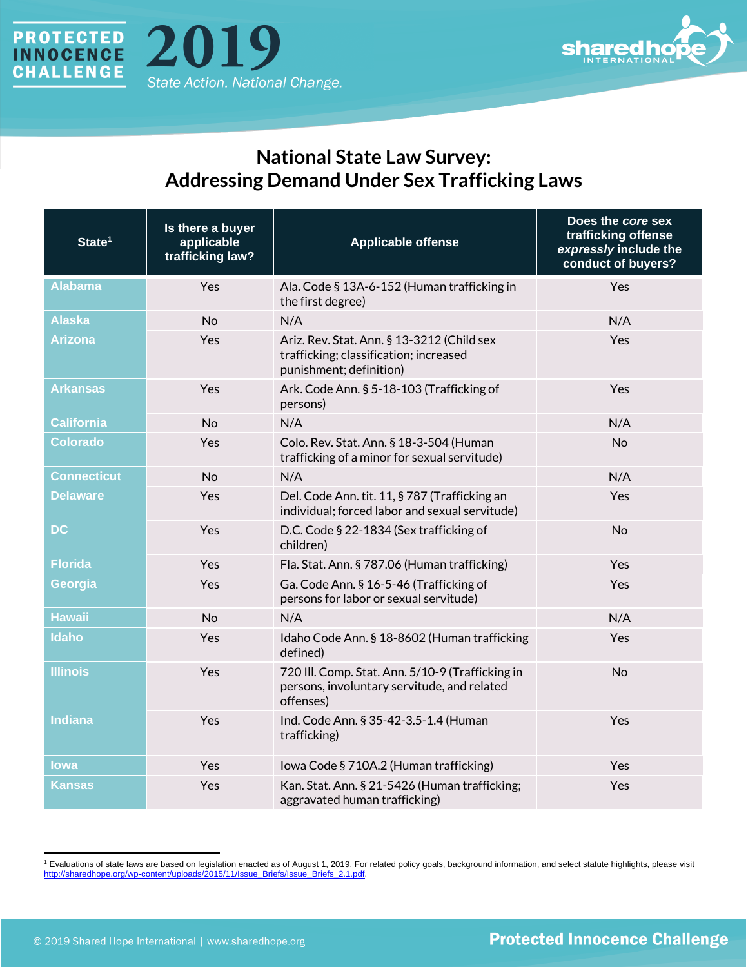



## **National State Law Survey: Addressing Demand Under Sex Trafficking Laws**

| State <sup>1</sup> | Is there a buyer<br>applicable<br>trafficking law? | <b>Applicable offense</b>                                                                                       | Does the core sex<br>trafficking offense<br>expressly include the<br>conduct of buyers? |
|--------------------|----------------------------------------------------|-----------------------------------------------------------------------------------------------------------------|-----------------------------------------------------------------------------------------|
| <b>Alabama</b>     | Yes                                                | Ala. Code § 13A-6-152 (Human trafficking in<br>the first degree)                                                | Yes                                                                                     |
| <b>Alaska</b>      | <b>No</b>                                          | N/A                                                                                                             | N/A                                                                                     |
| <b>Arizona</b>     | Yes                                                | Ariz. Rev. Stat. Ann. § 13-3212 (Child sex<br>trafficking; classification; increased<br>punishment; definition) | Yes                                                                                     |
| <b>Arkansas</b>    | Yes                                                | Ark. Code Ann. § 5-18-103 (Trafficking of<br>persons)                                                           | Yes                                                                                     |
| <b>California</b>  | <b>No</b>                                          | N/A                                                                                                             | N/A                                                                                     |
| <b>Colorado</b>    | Yes                                                | Colo. Rev. Stat. Ann. § 18-3-504 (Human<br>trafficking of a minor for sexual servitude)                         | <b>No</b>                                                                               |
| <b>Connecticut</b> | <b>No</b>                                          | N/A                                                                                                             | N/A                                                                                     |
| <b>Delaware</b>    | Yes                                                | Del. Code Ann. tit. 11, § 787 (Trafficking an<br>individual; forced labor and sexual servitude)                 | Yes                                                                                     |
| <b>DC</b>          | Yes                                                | D.C. Code § 22-1834 (Sex trafficking of<br>children)                                                            | <b>No</b>                                                                               |
| <b>Florida</b>     | Yes                                                | Fla. Stat. Ann. § 787.06 (Human trafficking)                                                                    | Yes                                                                                     |
| Georgia            | Yes                                                | Ga. Code Ann. § 16-5-46 (Trafficking of<br>persons for labor or sexual servitude)                               | Yes                                                                                     |
| <b>Hawaii</b>      | <b>No</b>                                          | N/A                                                                                                             | N/A                                                                                     |
| <b>Idaho</b>       | Yes                                                | Idaho Code Ann. § 18-8602 (Human trafficking<br>defined)                                                        | Yes                                                                                     |
| <b>Illinois</b>    | Yes                                                | 720 III. Comp. Stat. Ann. 5/10-9 (Trafficking in<br>persons, involuntary servitude, and related<br>offenses)    | <b>No</b>                                                                               |
| <b>Indiana</b>     | Yes                                                | Ind. Code Ann. § 35-42-3.5-1.4 (Human<br>trafficking)                                                           | Yes                                                                                     |
| lowa               | Yes                                                | Iowa Code § 710A.2 (Human trafficking)                                                                          | Yes                                                                                     |
| <b>Kansas</b>      | Yes                                                | Kan. Stat. Ann. § 21-5426 (Human trafficking;<br>aggravated human trafficking)                                  | Yes                                                                                     |

<sup>1</sup> Evaluations of state laws are based on legislation enacted as of August 1, 2019. For related policy goals, background information, and select statute highlights, please visit [http://sharedhope.org/wp-content/uploads/2015/11/Issue\\_Briefs/Issue\\_Briefs\\_2.1.pdf.](http://sharedhope.org/wp-content/uploads/2015/11/Issue_Briefs/Issue_Briefs_2.1.pdf)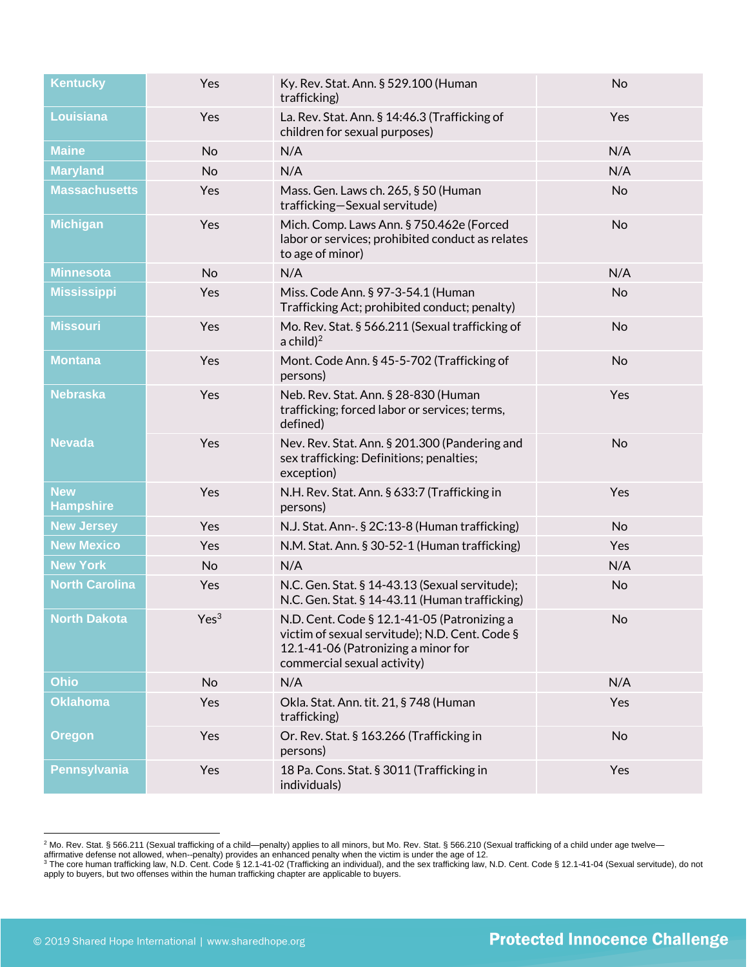| <b>Kentucky</b>                | Yes              | Ky. Rev. Stat. Ann. § 529.100 (Human<br>trafficking)                                                                                                                | <b>No</b> |
|--------------------------------|------------------|---------------------------------------------------------------------------------------------------------------------------------------------------------------------|-----------|
| Louisiana                      | Yes              | La. Rev. Stat. Ann. § 14:46.3 (Trafficking of<br>children for sexual purposes)                                                                                      | Yes       |
| <b>Maine</b>                   | <b>No</b>        | N/A                                                                                                                                                                 | N/A       |
| <b>Maryland</b>                | <b>No</b>        | N/A                                                                                                                                                                 | N/A       |
| <b>Massachusetts</b>           | Yes              | Mass. Gen. Laws ch. 265, § 50 (Human<br>trafficking-Sexual servitude)                                                                                               | No        |
| <b>Michigan</b>                | Yes              | Mich. Comp. Laws Ann. § 750.462e (Forced<br>labor or services; prohibited conduct as relates<br>to age of minor)                                                    | No        |
| <b>Minnesota</b>               | <b>No</b>        | N/A                                                                                                                                                                 | N/A       |
| <b>Mississippi</b>             | Yes              | Miss. Code Ann. § 97-3-54.1 (Human<br>Trafficking Act; prohibited conduct; penalty)                                                                                 | No        |
| <b>Missouri</b>                | Yes              | Mo. Rev. Stat. § 566.211 (Sexual trafficking of<br>a child) $^2$                                                                                                    | No        |
| <b>Montana</b>                 | Yes              | Mont. Code Ann. § 45-5-702 (Trafficking of<br>persons)                                                                                                              | No        |
| <b>Nebraska</b>                | Yes              | Neb. Rev. Stat. Ann. § 28-830 (Human<br>trafficking; forced labor or services; terms,<br>defined)                                                                   | Yes       |
| <b>Nevada</b>                  | Yes              | Nev. Rev. Stat. Ann. § 201.300 (Pandering and<br>sex trafficking: Definitions; penalties;<br>exception)                                                             | <b>No</b> |
| <b>New</b><br><b>Hampshire</b> | Yes              | N.H. Rev. Stat. Ann. § 633:7 (Trafficking in<br>persons)                                                                                                            | Yes       |
| <b>New Jersey</b>              | Yes              | N.J. Stat. Ann-. § 2C:13-8 (Human trafficking)                                                                                                                      | No        |
| <b>New Mexico</b>              | Yes              | N.M. Stat. Ann. § 30-52-1 (Human trafficking)                                                                                                                       | Yes       |
| <b>New York</b>                | <b>No</b>        | N/A                                                                                                                                                                 | N/A       |
| <b>North Carolina</b>          | Yes              | N.C. Gen. Stat. § 14-43.13 (Sexual servitude);<br>N.C. Gen. Stat. § 14-43.11 (Human trafficking)                                                                    | No        |
| <b>North Dakota</b>            | Yes <sup>3</sup> | N.D. Cent. Code § 12.1-41-05 (Patronizing a<br>victim of sexual servitude); N.D. Cent. Code §<br>12.1-41-06 (Patronizing a minor for<br>commercial sexual activity) | No        |
| <b>Ohio</b>                    | No               | N/A                                                                                                                                                                 | N/A       |
| <b>Oklahoma</b>                | Yes              | Okla. Stat. Ann. tit. 21, § 748 (Human<br>trafficking)                                                                                                              | Yes       |
| <b>Oregon</b>                  | Yes              | Or. Rev. Stat. § 163.266 (Trafficking in<br>persons)                                                                                                                | No        |
| Pennsylvania                   | Yes              | 18 Pa. Cons. Stat. § 3011 (Trafficking in<br>individuals)                                                                                                           | Yes       |
|                                |                  |                                                                                                                                                                     |           |

 $^2$  Mo. Rev. Stat. § 566.211 (Sexual trafficking of a child—penalty) applies to all minors, but Mo. Rev. Stat. § 566.210 (Sexual trafficking of a child under age twelve—

affirmative defense not allowed, when--penalty) provides an enhanced penalty when the victim is under the age of 12.<br><sup>3</sup> The core human trafficking law, N.D. Cent. Code § 12.1-41-02 (Trafficking an individual), and the sex apply to buyers, but two offenses within the human trafficking chapter are applicable to buyers.